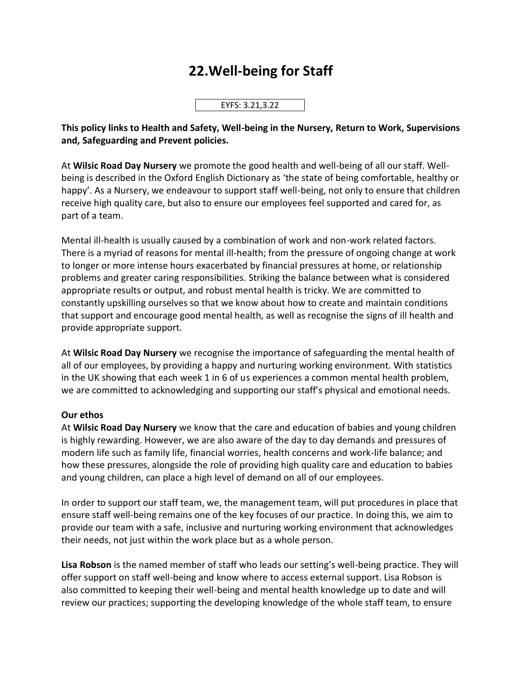## **22.Well-being for Staff**

EYFS: 3.21,3.22

**This policy links to Health and Safety, Well-being in the Nursery, Return to Work, Supervisions and, Safeguarding and Prevent policies.**

At **Wilsic Road Day Nursery** we promote the good health and well-being of all our staff. Wellbeing is described in the Oxford English Dictionary as 'the state of being comfortable, healthy or happy'. As a Nursery, we endeavour to support staff well-being, not only to ensure that children receive high quality care, but also to ensure our employees feel supported and cared for, as part of a team.

Mental ill-health is usually caused by a combination of work and non-work related factors. There is a myriad of reasons for mental ill-health; from the pressure of ongoing change at work to longer or more intense hours exacerbated by financial pressures at home, or relationship problems and greater caring responsibilities. Striking the balance between what is considered appropriate results or output, and robust mental health is tricky. We are committed to constantly upskilling ourselves so that we know about how to create and maintain conditions that support and encourage good mental health, as well as recognise the signs of ill health and provide appropriate support.

At **Wilsic Road Day Nursery** we recognise the importance of safeguarding the mental health of all of our employees, by providing a happy and nurturing working environment. With statistics in the UK showing that each week 1 in 6 of us experiences a common mental health problem, we are committed to acknowledging and supporting our staff's physical and emotional needs.

## **Our ethos**

At **Wilsic Road Day Nursery** we know that the care and education of babies and young children is highly rewarding. However, we are also aware of the day to day demands and pressures of modern life such as family life, financial worries, health concerns and work-life balance; and how these pressures, alongside the role of providing high quality care and education to babies and young children, can place a high level of demand on all of our employees.

In order to support our staff team, we, the management team, will put procedures in place that ensure staff well-being remains one of the key focuses of our practice. In doing this, we aim to provide our team with a safe, inclusive and nurturing working environment that acknowledges their needs, not just within the work place but as a whole person.

**Lisa Robson** is the named member of staff who leads our setting's well-being practice. They will offer support on staff well-being and know where to access external support. Lisa Robson is also committed to keeping their well-being and mental health knowledge up to date and will review our practices; supporting the developing knowledge of the whole staff team, to ensure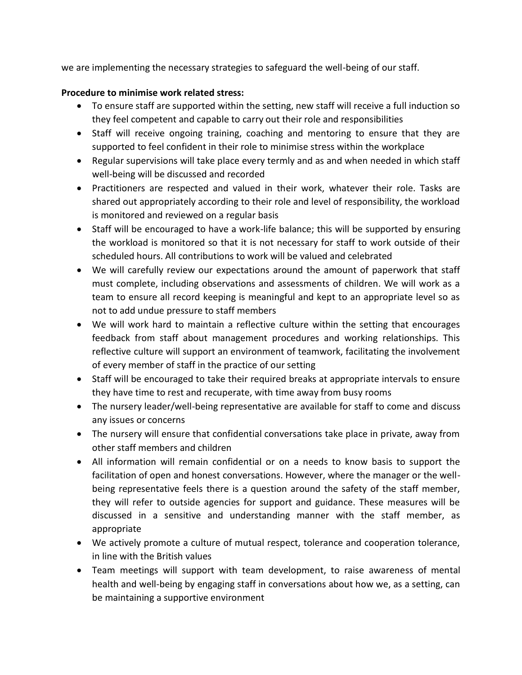we are implementing the necessary strategies to safeguard the well-being of our staff.

## **Procedure to minimise work related stress:**

- To ensure staff are supported within the setting, new staff will receive a full induction so they feel competent and capable to carry out their role and responsibilities
- Staff will receive ongoing training, coaching and mentoring to ensure that they are supported to feel confident in their role to minimise stress within the workplace
- Regular supervisions will take place every termly and as and when needed in which staff well-being will be discussed and recorded
- Practitioners are respected and valued in their work, whatever their role. Tasks are shared out appropriately according to their role and level of responsibility, the workload is monitored and reviewed on a regular basis
- Staff will be encouraged to have a work-life balance; this will be supported by ensuring the workload is monitored so that it is not necessary for staff to work outside of their scheduled hours. All contributions to work will be valued and celebrated
- We will carefully review our expectations around the amount of paperwork that staff must complete, including observations and assessments of children. We will work as a team to ensure all record keeping is meaningful and kept to an appropriate level so as not to add undue pressure to staff members
- We will work hard to maintain a reflective culture within the setting that encourages feedback from staff about management procedures and working relationships. This reflective culture will support an environment of teamwork, facilitating the involvement of every member of staff in the practice of our setting
- Staff will be encouraged to take their required breaks at appropriate intervals to ensure they have time to rest and recuperate, with time away from busy rooms
- The nursery leader/well-being representative are available for staff to come and discuss any issues or concerns
- The nursery will ensure that confidential conversations take place in private, away from other staff members and children
- All information will remain confidential or on a needs to know basis to support the facilitation of open and honest conversations. However, where the manager or the wellbeing representative feels there is a question around the safety of the staff member, they will refer to outside agencies for support and guidance. These measures will be discussed in a sensitive and understanding manner with the staff member, as appropriate
- We actively promote a culture of mutual respect, tolerance and cooperation tolerance, in line with the British values
- Team meetings will support with team development, to raise awareness of mental health and well-being by engaging staff in conversations about how we, as a setting, can be maintaining a supportive environment